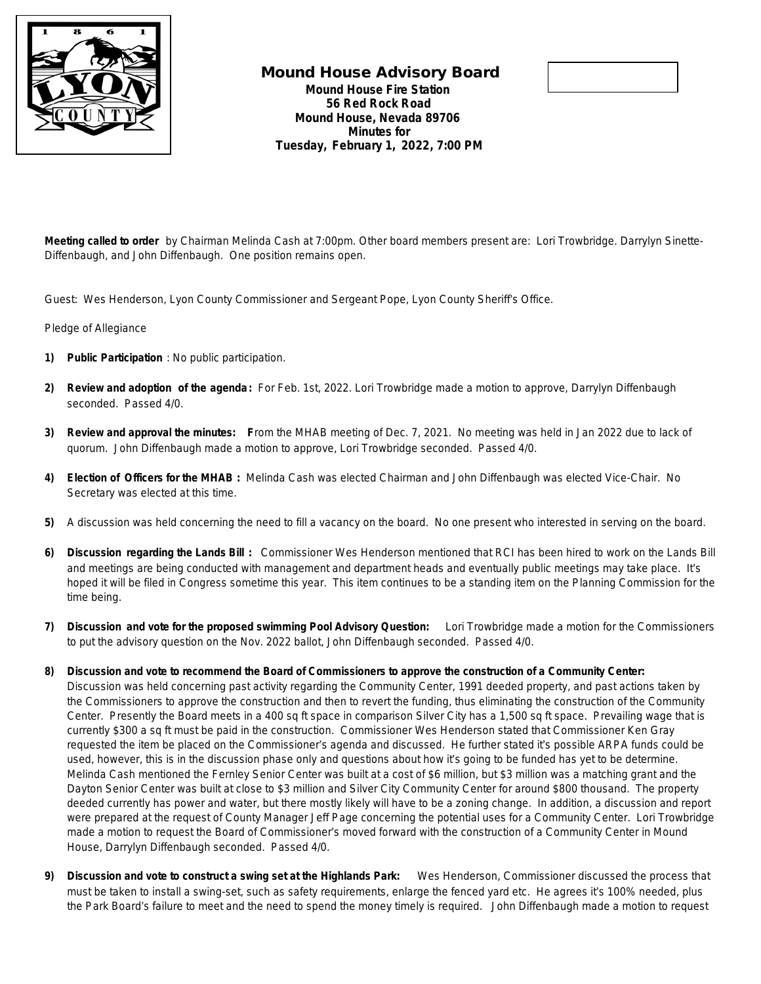

## **Mound House Advisory Board Mound House Fire Station 56 Red Rock Road Mound House, Nevada 89706 Minutes for Tuesday, February 1, 2022, 7:00 PM**



**Meeting called to order** by Chairman Melinda Cash at 7:00pm. Other board members present are: Lori Trowbridge. Darrylyn Sinette-Diffenbaugh, and John Diffenbaugh. One position remains open.

Guest: Wes Henderson, Lyon County Commissioner and Sergeant Pope, Lyon County Sheriff's Office.

Pledge of Allegiance

- **1) Public Participation** : No public participation.
- **2) Review and adoption of the agenda:** For Feb. 1st, 2022. Lori Trowbridge made a motion to approve, Darrylyn Diffenbaugh seconded. Passed 4/0.
- **3) Review and approval the minutes: F**rom the MHAB meeting of Dec. 7, 2021. No meeting was held in Jan 2022 due to lack of quorum. John Diffenbaugh made a motion to approve, Lori Trowbridge seconded. Passed 4/0.
- **4) Election of Officers for the MHAB :** Melinda Cash was elected Chairman and John Diffenbaugh was elected Vice-Chair. No Secretary was elected at this time.
- **5)** A discussion was held concerning the need to fill a vacancy on the board. No one present who interested in serving on the board.
- **6) Discussion regarding the Lands Bill :** Commissioner Wes Henderson mentioned that RCI has been hired to work on the Lands Bill and meetings are being conducted with management and department heads and eventually public meetings may take place. It's hoped it will be filed in Congress sometime this year. This item continues to be a standing item on the Planning Commission for the time being.
- **7) Discussion and vote for the proposed swimming Pool Advisory Question:** Lori Trowbridge made a motion for the Commissioners to put the advisory question on the Nov. 2022 ballot, John Diffenbaugh seconded. Passed 4/0.
- **8) Discussion and vote to recommend the Board of Commissioners to approve the construction of a Community Center:** 
	- Discussion was held concerning past activity regarding the Community Center, 1991 deeded property, and past actions taken by the Commissioners to approve the construction and then to revert the funding, thus eliminating the construction of the Community Center. Presently the Board meets in a 400 sq ft space in comparison Silver City has a 1,500 sq ft space. Prevailing wage that is currently \$300 a sq ft must be paid in the construction. Commissioner Wes Henderson stated that Commissioner Ken Gray requested the item be placed on the Commissioner's agenda and discussed. He further stated it's possible ARPA funds could be used, however, this is in the discussion phase only and questions about how it's going to be funded has yet to be determine. Melinda Cash mentioned the Fernley Senior Center was built at a cost of \$6 million, but \$3 million was a matching grant and the Dayton Senior Center was built at close to \$3 million and Silver City Community Center for around \$800 thousand. The property deeded currently has power and water, but there mostly likely will have to be a zoning change. In addition, a discussion and report were prepared at the request of County Manager Jeff Page concerning the potential uses for a Community Center. Lori Trowbridge made a motion to request the Board of Commissioner's moved forward with the construction of a Community Center in Mound House, Darrylyn Diffenbaugh seconded. Passed 4/0.
- **9) Discussion and vote to construct a swing set at the Highlands Park:** Wes Henderson, Commissioner discussed the process that must be taken to install a swing-set, such as safety requirements, enlarge the fenced yard etc. He agrees it's 100% needed, plus the Park Board's failure to meet and the need to spend the money timely is required. John Diffenbaugh made a motion to request